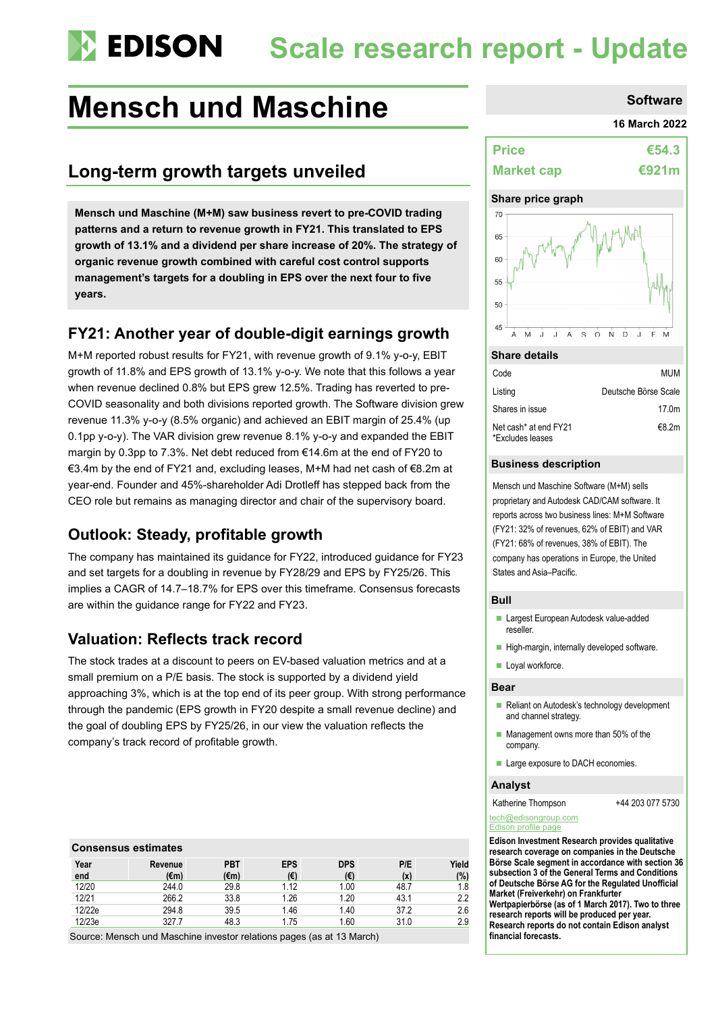# **Scale research report - Update**

# **Mensch und Maschine Software Software**

# **Long-term growth targets unveiled**

**Mensch und Maschine (M+M) saw business revert to pre-COVID trading patterns and a return to revenue growth in FY21. This translated to EPS growth of 13.1% and a dividend per share increase of 20%. The strategy of organic revenue growth combined with careful cost control supports management's targets for a doubling in EPS over the next four to five years.**

## **FY21: Another year of double-digit earnings growth**

M+M reported robust results for FY21, with revenue growth of 9.1% y-o-y, EBIT growth of 11.8% and EPS growth of 13.1% y-o-y. We note that this follows a year when revenue declined 0.8% but EPS grew 12.5%. Trading has reverted to pre-COVID seasonality and both divisions reported growth. The Software division grew revenue 11.3% y-o-y (8.5% organic) and achieved an EBIT margin of 25.4% (up 0.1pp y-o-y). The VAR division grew revenue 8.1% y-o-y and expanded the EBIT margin by 0.3pp to 7.3%. Net debt reduced from €14.6m at the end of FY20 to €3.4m by the end of FY21 and, excluding leases, M+M had net cash of €8.2m at year-end. Founder and 45%-shareholder Adi Drotleff has stepped back from the CEO role but remains as managing director and chair of the supervisory board.

## **Outlook: Steady, profitable growth**

The company has maintained its guidance for FY22, introduced guidance for FY23 and set targets for a doubling in revenue by FY28/29 and EPS by FY25/26. This implies a CAGR of 14.7–18.7% for EPS over this timeframe. Consensus forecasts are within the guidance range for FY22 and FY23.

## **Valuation: Reflects track record**

The stock trades at a discount to peers on EV-based valuation metrics and at a small premium on a P/E basis. The stock is supported by a dividend yield approaching 3%, which is at the top end of its peer group. With strong performance through the pandemic (EPS growth in FY20 despite a small revenue decline) and the goal of doubling EPS by FY25/26, in our view the valuation reflects the company's track record of profitable growth.

## **Consensus estimates**

| Year<br>end | Revenue<br>(€m) | <b>PBT</b><br>(€m) | <b>EPS</b><br>(€) | <b>DPS</b><br>(€) | P/E<br>(x) | Yield<br>(%) |
|-------------|-----------------|--------------------|-------------------|-------------------|------------|--------------|
| 12/20       | 244.0           | 29.8               | 1.12              | 1.00              | 48.7       | 1.8          |
| 12/21       | 266.2           | 33.8               | 1.26              | 1.20              | 43.1       | 2.2          |
| 12/22e      | 294.8           | 39.5               | 1.46              | 1.40              | 37.2       | 2.6          |
| 12/23e      | 327.7           | 48.3               | 1.75              | 1.60              | 31.0       | 2.9          |

Source: Mensch und Maschine investor relations pages (as at 13 March)

#### **16 March 2022**

| <b>Price</b>      | €54.3 |
|-------------------|-------|
| <b>Market cap</b> | €921m |

### **Share price graph**



#### **Share details**

| Code                                      | MUM                  |
|-------------------------------------------|----------------------|
| Listing                                   | Deutsche Börse Scale |
| Shares in issue                           | 17.0 <sub>m</sub>    |
| Net cash* at end FY21<br>*Excludes leases | €8.2m                |

#### **Business description**

Mensch und Maschine Software (M+M) sells proprietary and Autodesk CAD/CAM software. It reports across two business lines: M+M Software (FY21: 32% of revenues, 62% of EBIT) and VAR (FY21: 68% of revenues, 38% of EBIT). The company has operations in Europe, the United States and Asia–Pacific.

#### **Bull**

- **Largest European Autodesk value-added** reseller.
- High-margin, internally developed software.
- Loyal workforce.

#### **Bear**

- Reliant on Autodesk's technology development and channel strategy.
- $\blacksquare$  Management owns more than 50% of the company.
- **Large exposure to DACH economies.**

#### **Analyst**

Katherine Thompson +44 203 077 5730

#### [tech@edisongroup.com](mailto:tech@edisongroup.com) [Edison profile page](https://www.edisongroup.com/company/mensch-maschine-software/)

**Edison Investment Research provides qualitative research coverage on companies in the Deutsche Börse Scale segment in accordance with section 36 subsection 3 of the General Terms and Conditions of Deutsche Börse AG for the Regulated Unofficial Market (Freiverkehr) on Frankfurter Wertpapierbörse (as of 1 March 2017). Two to three** 

**research reports will be produced per year. Research reports do not contain Edison analyst financial forecasts.**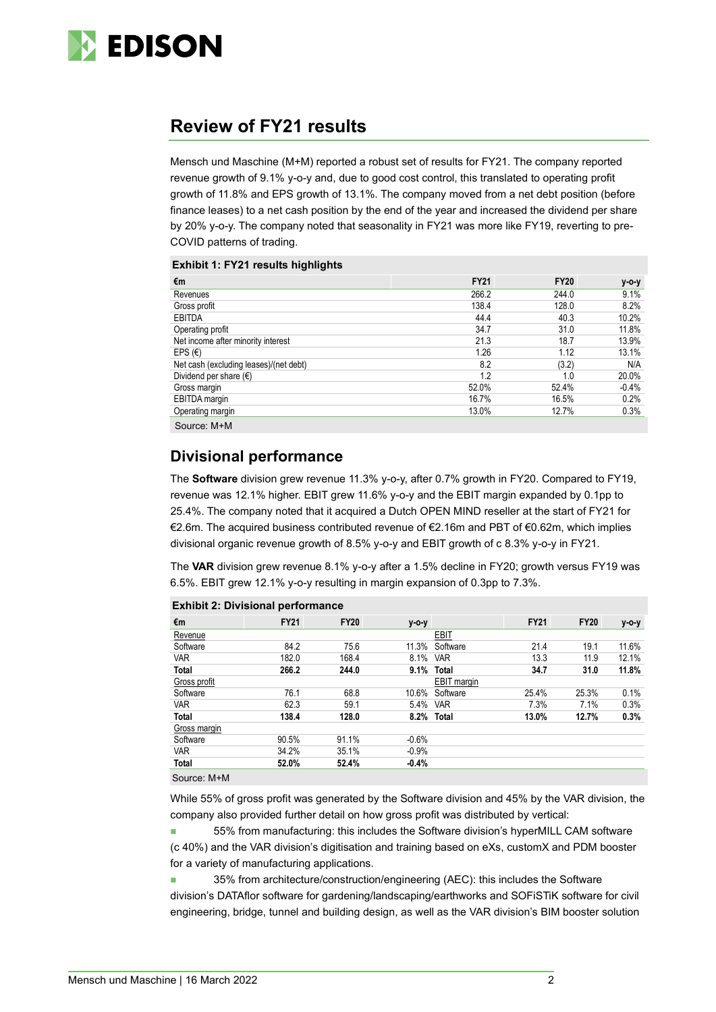

# **Review of FY21 results**

Mensch und Maschine (M+M) reported a robust set of results for FY21. The company reported revenue growth of 9.1% y-o-y and, due to good cost control, this translated to operating profit growth of 11.8% and EPS growth of 13.1%. The company moved from a net debt position (before finance leases) to a net cash position by the end of the year and increased the dividend per share by 20% y-o-y. The company noted that seasonality in FY21 was more like FY19, reverting to pre-COVID patterns of trading.

#### **Exhibit 1: FY21 results highlights**

|                                        | <b>FY21</b> |             |         |
|----------------------------------------|-------------|-------------|---------|
| €m                                     |             | <b>FY20</b> | y-o-y   |
| Revenues                               | 266.2       | 244.0       | 9.1%    |
| Gross profit                           | 138.4       | 128.0       | 8.2%    |
| <b>EBITDA</b>                          | 44.4        | 40.3        | 10.2%   |
| Operating profit                       | 34.7        | 31.0        | 11.8%   |
| Net income after minority interest     | 21.3        | 18.7        | 13.9%   |
| EPS $(E)$                              | 1.26        | 1.12        | 13.1%   |
| Net cash (excluding leases)/(net debt) | 8.2         | (3.2)       | N/A     |
| Dividend per share $(\epsilon)$        | 1.2         | 1.0         | 20.0%   |
| Gross margin                           | 52.0%       | 52.4%       | $-0.4%$ |
| <b>EBITDA</b> margin                   | 16.7%       | 16.5%       | 0.2%    |
| Operating margin                       | 13.0%       | 12.7%       | 0.3%    |
| Source: M+M                            |             |             |         |

## **Divisional performance**

The **Software** division grew revenue 11.3% y-o-y, after 0.7% growth in FY20. Compared to FY19, revenue was 12.1% higher. EBIT grew 11.6% y-o-y and the EBIT margin expanded by 0.1pp to 25.4%. The company noted that it acquired a Dutch OPEN MIND reseller at the start of FY21 for €2.6m. The acquired business contributed revenue of €2.16m and PBT of €0.62m, which implies divisional organic revenue growth of 8.5% y-o-y and EBIT growth of c 8.3% y-o-y in FY21.

The **VAR** division grew revenue 8.1% y-o-y after a 1.5% decline in FY20; growth versus FY19 was 6.5%. EBIT grew 12.1% y-o-y resulting in margin expansion of 0.3pp to 7.3%.

|                      | . .         |             |         |                    |             |             |       |
|----------------------|-------------|-------------|---------|--------------------|-------------|-------------|-------|
| €m                   | <b>FY21</b> | <b>FY20</b> | y-o-y   |                    | <b>FY21</b> | <b>FY20</b> | y-o-y |
| Revenue              |             |             |         | <b>EBIT</b>        |             |             |       |
| Software             | 84.2        | 75.6        | 11.3%   | Software           | 21.4        | 19.1        | 11.6% |
| <b>VAR</b>           | 182.0       | 168.4       | 8.1%    | <b>VAR</b>         | 13.3        | 11.9        | 12.1% |
| <b>Total</b>         | 266.2       | 244.0       | 9.1%    | <b>Total</b>       | 34.7        | 31.0        | 11.8% |
| Gross profit         |             |             |         | <b>EBIT</b> margin |             |             |       |
| Software             | 76.1        | 68.8        | 10.6%   | Software           | 25.4%       | 25.3%       | 0.1%  |
| <b>VAR</b>           | 62.3        | 59.1        | 5.4%    | <b>VAR</b>         | 7.3%        | 7.1%        | 0.3%  |
| <b>Total</b>         | 138.4       | 128.0       |         | 8.2% Total         | 13.0%       | 12.7%       | 0.3%  |
| Gross margin         |             |             |         |                    |             |             |       |
| Software             | 90.5%       | 91.1%       | $-0.6%$ |                    |             |             |       |
| <b>VAR</b>           | 34.2%       | 35.1%       | $-0.9%$ |                    |             |             |       |
| Total                | 52.0%       | 52.4%       | $-0.4%$ |                    |             |             |       |
| $\sim$ $\sim$ $\sim$ |             |             |         |                    |             |             |       |

#### **Exhibit 2: Divisional performance**

Source: M+M

While 55% of gross profit was generated by the Software division and 45% by the VAR division, the company also provided further detail on how gross profit was distributed by vertical:

 55% from manufacturing: this includes the Software division's hyperMILL CAM software (c 40%) and the VAR division's digitisation and training based on eXs, customX and PDM booster for a variety of manufacturing applications.

 35% from architecture/construction/engineering (AEC): this includes the Software division's DATAflor software for gardening/landscaping/earthworks and SOFiSTiK software for civil engineering, bridge, tunnel and building design, as well as the VAR division's BIM booster solution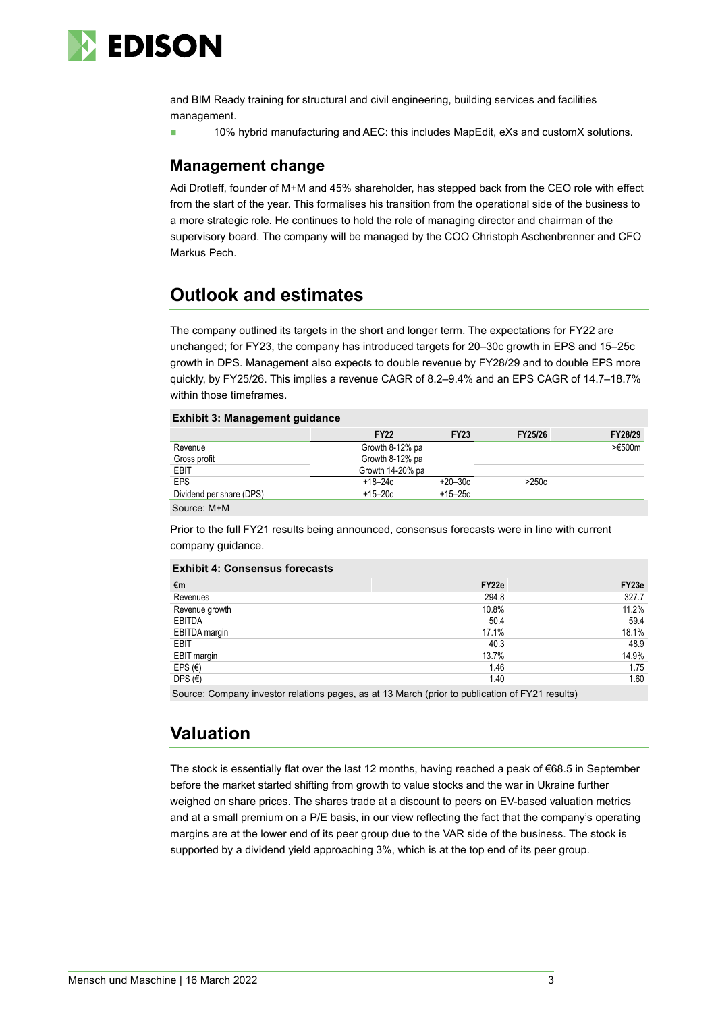

and BIM Ready training for structural and civil engineering, building services and facilities management.

10% hybrid manufacturing and AEC: this includes MapEdit, eXs and customX solutions.

## **Management change**

Adi Drotleff, founder of M+M and 45% shareholder, has stepped back from the CEO role with effect from the start of the year. This formalises his transition from the operational side of the business to a more strategic role. He continues to hold the role of managing director and chairman of the supervisory board. The company will be managed by the COO Christoph Aschenbrenner and CFO Markus Pech.

# **Outlook and estimates**

The company outlined its targets in the short and longer term. The expectations for FY22 are unchanged; for FY23, the company has introduced targets for 20–30c growth in EPS and 15–25c growth in DPS. Management also expects to double revenue by FY28/29 and to double EPS more quickly, by FY25/26. This implies a revenue CAGR of 8.2–9.4% and an EPS CAGR of 14.7–18.7% within those timeframes.

#### **Exhibit 3: Management guidance**

|                          | <b>FY22</b>      | <b>FY23</b> | FY25/26 | FY28/29           |
|--------------------------|------------------|-------------|---------|-------------------|
| Revenue                  | Growth 8-12% pa  |             |         | $> \epsilon 500m$ |
| Gross profit             | Growth 8-12% pa  |             |         |                   |
| EBIT                     | Growth 14-20% pa |             |         |                   |
| <b>EPS</b>               | $+18 - 24c$      | $+20-30c$   | >250c   |                   |
| Dividend per share (DPS) | $+15-20c$        | $+15-25c$   |         |                   |

Source: M+M

Prior to the full FY21 results being announced, consensus forecasts were in line with current company guidance.

#### **Exhibit 4: Consensus forecasts**

| €m               | FY22e | FY23e |
|------------------|-------|-------|
| Revenues         | 294.8 | 327.7 |
| Revenue growth   | 10.8% | 11.2% |
| EBITDA           | 50.4  | 59.4  |
| EBITDA margin    | 17.1% | 18.1% |
| EBIT             | 40.3  | 48.9  |
| EBIT margin      | 13.7% | 14.9% |
| EPS $(\epsilon)$ | 1.46  | 1.75  |
| DPS $(E)$        | 1.40  | 1.60  |
|                  |       |       |

Source: Company investor relations pages, as at 13 March (prior to publication of FY21 results)

# **Valuation**

The stock is essentially flat over the last 12 months, having reached a peak of €68.5 in September before the market started shifting from growth to value stocks and the war in Ukraine further weighed on share prices. The shares trade at a discount to peers on EV-based valuation metrics and at a small premium on a P/E basis, in our view reflecting the fact that the company's operating margins are at the lower end of its peer group due to the VAR side of the business. The stock is supported by a dividend yield approaching 3%, which is at the top end of its peer group.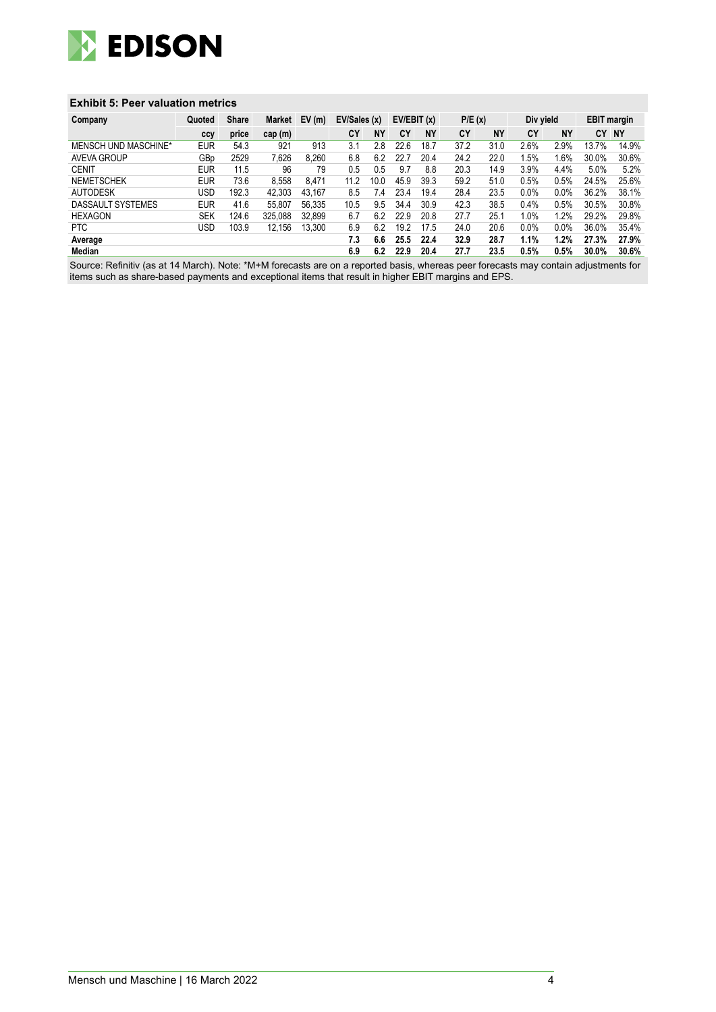

### **Exhibit 5: Peer valuation metrics**

| Company              | Quoted     | <b>Share</b> | Market  | EV(m)  | EV/Sales (x) |           | EV/EBIT(x) |           | P/E(x) |           | Div yield |           | <b>EBIT margin</b> |           |
|----------------------|------------|--------------|---------|--------|--------------|-----------|------------|-----------|--------|-----------|-----------|-----------|--------------------|-----------|
|                      | ccy        | price        | cap(m)  |        | CY           | <b>NY</b> | CY         | <b>NY</b> | CY     | <b>NY</b> | CY        | <b>NY</b> | CY                 | <b>NY</b> |
| MENSCH UND MASCHINE* | <b>EUR</b> | 54.3         | 921     | 913    | 3.1          | 2.8       | 22.6       | 18.7      | 37.2   | 31.0      | 2.6%      | 2.9%      | 13.7%              | 14.9%     |
| AVEVA GROUP          | GBp        | 2529         | 7,626   | 8.260  | 6.8          | 6.2       | 22.        | 20.4      | 24.2   | 22.0      | .5%       | .6%       | 30.0%              | 30.6%     |
| <b>CENIT</b>         | <b>EUR</b> | 11.5         | 96      | 79     | 0.5          | 0.5       | 9.7        | 8.8       | 20.3   | 14.9      | 3.9%      | 4.4%      | 5.0%               | 5.2%      |
| <b>NEMETSCHEK</b>    | <b>EUR</b> | 73.6         | 8.558   | 8.471  | 11.2         | 10.0      | 45.9       | 39.3      | 59.2   | 51.0      | 0.5%      | 0.5%      | 24.5%              | 25.6%     |
| <b>AUTODESK</b>      | USD        | 192.3        | 42.303  | 43.167 | 8.5          | 7.4       | 23.4       | 19.4      | 28.4   | 23.5      | 0.0%      | 0.0%      | 36.2%              | 38.1%     |
| DASSAULT SYSTEMES    | <b>EUR</b> | 41.6         | 55.807  | 56.335 | 10.5         | 9.5       | 34.4       | 30.9      | 42.3   | 38.5      | 0.4%      | 0.5%      | 30.5%              | 30.8%     |
| <b>HEXAGON</b>       | <b>SEK</b> | 124.6        | 325.088 | 32.899 | 6.7          | 6.2       | 22.9       | 20.8      | 27.7   | 25.1      | 1.0%      | $1.2\%$   | 29.2%              | 29.8%     |
| <b>PTC</b>           | USD        | 103.9        | 12.156  | 13.300 | 6.9          | 6.2       | 19.2       | 17.5      | 24.0   | 20.6      | $0.0\%$   | 0.0%      | 36.0%              | 35.4%     |
| Average              |            |              |         |        | 7.3          | 6.6       | 25.5       | 22.4      | 32.9   | 28.7      | 1.1%      | 1.2%      | 27.3%              | 27.9%     |
| Median               |            |              |         |        | 6.9          | 6.2       | 22.9       | 20.4      | 27.7   | 23.5      | 0.5%      | 0.5%      | 30.0%              | 30.6%     |

Source: Refinitiv (as at 14 March). Note: \*M+M forecasts are on a reported basis, whereas peer forecasts may contain adjustments for items such as share-based payments and exceptional items that result in higher EBIT margins and EPS.